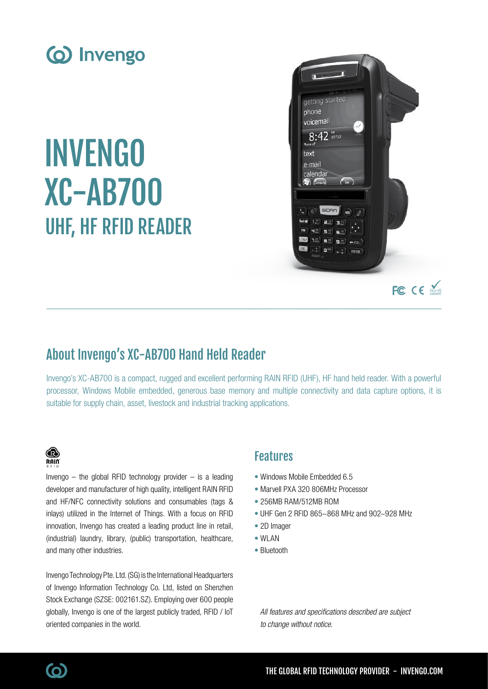

# INVENGO XC-AB700 UHF, HF RFID READER



# About Invengo's XC-AB700 Hand Held Reader

Invengo's XC-AB700 is a compact, rugged and excellent performing RAIN RFID (UHF), HF hand held reader. With a powerful processor, Windows Mobile embedded, generous base memory and multiple connectivity and data capture options, it is suitable for supply chain, asset, livestock and industrial tracking applications.

### **B**  $R$ ain

Invengo  $-$  the global RFID technology provider  $-$  is a leading developer and manufacturer of high quality, intelligent RAIN RFID and HF/NFC connectivity solutions and consumables (tags & inlays) utilized in the Internet of Things. With a focus on RFID innovation, Invengo has created a leading product line in retail, (industrial) laundry, library, (public) transportation, healthcare, and many other industries.

Invengo Technology Pte. Ltd. (SG) is the International Headquarters of Invengo Information Technology Co. Ltd, listed on Shenzhen Stock Exchange (SZSE: 002161.SZ). Employing over 600 people globally, Invengo is one of the largest publicly traded, RFID / IoT oriented companies in the world.

## Features

- Windows Mobile Embedded 6.5
- Marvell PXA 320 806MHz Processor
- 256MB RAM/512MB ROM
- UHF Gen 2 RFID 865~868 MHz and 902~928 MHz
- 2D Imager
- WLAN
- Bluetooth

All features and specifications described are subject to change without notice.